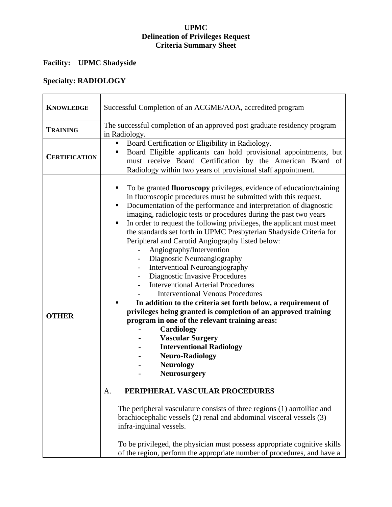#### **UPMC Delineation of Privileges Request Criteria Summary Sheet**

# **Facility: UPMC Shadyside**

# **Specialty: RADIOLOGY**

| <b>KNOWLEDGE</b>     | Successful Completion of an ACGME/AOA, accredited program                                                                                                                                                                                                                                                                                                                                                                                                                                                                                                                                                                                                                                                                                                                                                                                                                                                                                                                                                                                                                                                                                                                                                                                                                                                                                                                                                                                                                                     |
|----------------------|-----------------------------------------------------------------------------------------------------------------------------------------------------------------------------------------------------------------------------------------------------------------------------------------------------------------------------------------------------------------------------------------------------------------------------------------------------------------------------------------------------------------------------------------------------------------------------------------------------------------------------------------------------------------------------------------------------------------------------------------------------------------------------------------------------------------------------------------------------------------------------------------------------------------------------------------------------------------------------------------------------------------------------------------------------------------------------------------------------------------------------------------------------------------------------------------------------------------------------------------------------------------------------------------------------------------------------------------------------------------------------------------------------------------------------------------------------------------------------------------------|
| <b>TRAINING</b>      | The successful completion of an approved post graduate residency program<br>in Radiology.                                                                                                                                                                                                                                                                                                                                                                                                                                                                                                                                                                                                                                                                                                                                                                                                                                                                                                                                                                                                                                                                                                                                                                                                                                                                                                                                                                                                     |
| <b>CERTIFICATION</b> | Board Certification or Eligibility in Radiology.<br>п<br>Board Eligible applicants can hold provisional appointments, but<br>п<br>must receive Board Certification by the American Board of<br>Radiology within two years of provisional staff appointment.                                                                                                                                                                                                                                                                                                                                                                                                                                                                                                                                                                                                                                                                                                                                                                                                                                                                                                                                                                                                                                                                                                                                                                                                                                   |
| <b>OTHER</b>         | To be granted <b>fluoroscopy</b> privileges, evidence of education/training<br>٠<br>in fluoroscopic procedures must be submitted with this request.<br>Documentation of the performance and interpretation of diagnostic<br>п<br>imaging, radiologic tests or procedures during the past two years<br>In order to request the following privileges, the applicant must meet<br>п<br>the standards set forth in UPMC Presbyterian Shadyside Criteria for<br>Peripheral and Carotid Angiography listed below:<br>Angiography/Intervention<br>$\overline{\phantom{a}}$<br>Diagnostic Neuroangiography<br>Interventioal Neuroangiography<br>Diagnostic Invasive Procedures<br>$\blacksquare$<br><b>Interventional Arterial Procedures</b><br><b>Interventional Venous Procedures</b><br>In addition to the criteria set forth below, a requirement of<br>privileges being granted is completion of an approved training<br>program in one of the relevant training areas:<br>Cardiology<br><b>Vascular Surgery</b><br><b>Interventional Radiology</b><br><b>Neuro-Radiology</b><br><b>Neurology</b><br>Neurosurgery<br>PERIPHERAL VASCULAR PROCEDURES<br>A.<br>The peripheral vasculature consists of three regions (1) aortoiliac and<br>brachiocephalic vessels (2) renal and abdominal visceral vessels (3)<br>infra-inguinal vessels.<br>To be privileged, the physician must possess appropriate cognitive skills<br>of the region, perform the appropriate number of procedures, and have a |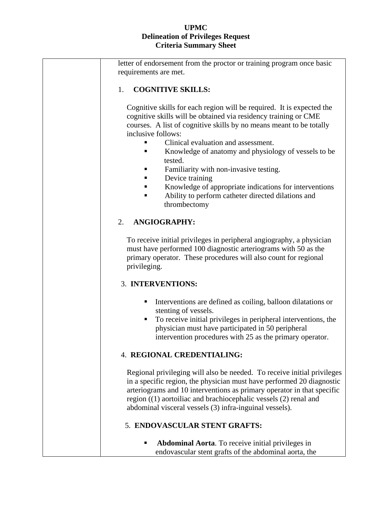### **UPMC Delineation of Privileges Request Criteria Summary Sheet**

| letter of endorsement from the proctor or training program once basic<br>requirements are met.                                                                                                                                                                                                                                                                                                                                                                                                                                                    |  |  |
|---------------------------------------------------------------------------------------------------------------------------------------------------------------------------------------------------------------------------------------------------------------------------------------------------------------------------------------------------------------------------------------------------------------------------------------------------------------------------------------------------------------------------------------------------|--|--|
| 1.<br><b>COGNITIVE SKILLS:</b>                                                                                                                                                                                                                                                                                                                                                                                                                                                                                                                    |  |  |
| Cognitive skills for each region will be required. It is expected the<br>cognitive skills will be obtained via residency training or CME<br>courses. A list of cognitive skills by no means meant to be totally<br>inclusive follows:<br>Clinical evaluation and assessment.<br>Knowledge of anatomy and physiology of vessels to be<br>tested.<br>Familiarity with non-invasive testing.<br>Device training<br>Knowledge of appropriate indications for interventions<br>Ability to perform catheter directed dilations and<br>٠<br>thrombectomy |  |  |
| 2.<br><b>ANGIOGRAPHY:</b>                                                                                                                                                                                                                                                                                                                                                                                                                                                                                                                         |  |  |
| To receive initial privileges in peripheral angiography, a physician<br>must have performed 100 diagnostic arteriograms with 50 as the<br>primary operator. These procedures will also count for regional<br>privileging.                                                                                                                                                                                                                                                                                                                         |  |  |
| 3. INTERVENTIONS:                                                                                                                                                                                                                                                                                                                                                                                                                                                                                                                                 |  |  |
| Interventions are defined as coiling, balloon dilatations or<br>٠<br>stenting of vessels.<br>To receive initial privileges in peripheral interventions, the<br>п<br>physician must have participated in 50 peripheral<br>intervention procedures with 25 as the primary operator.                                                                                                                                                                                                                                                                 |  |  |
| 4. REGIONAL CREDENTIALING:                                                                                                                                                                                                                                                                                                                                                                                                                                                                                                                        |  |  |
| Regional privileging will also be needed. To receive initial privileges<br>in a specific region, the physician must have performed 20 diagnostic<br>arteriograms and 10 interventions as primary operator in that specific<br>region $((1)$ aortoiliac and brachiocephalic vessels $(2)$ renal and<br>abdominal visceral vessels (3) infra-inguinal vessels).                                                                                                                                                                                     |  |  |
| 5. ENDOVASCULAR STENT GRAFTS:                                                                                                                                                                                                                                                                                                                                                                                                                                                                                                                     |  |  |
| <b>Abdominal Aorta</b> . To receive initial privileges in<br>endovascular stent grafts of the abdominal aorta, the                                                                                                                                                                                                                                                                                                                                                                                                                                |  |  |